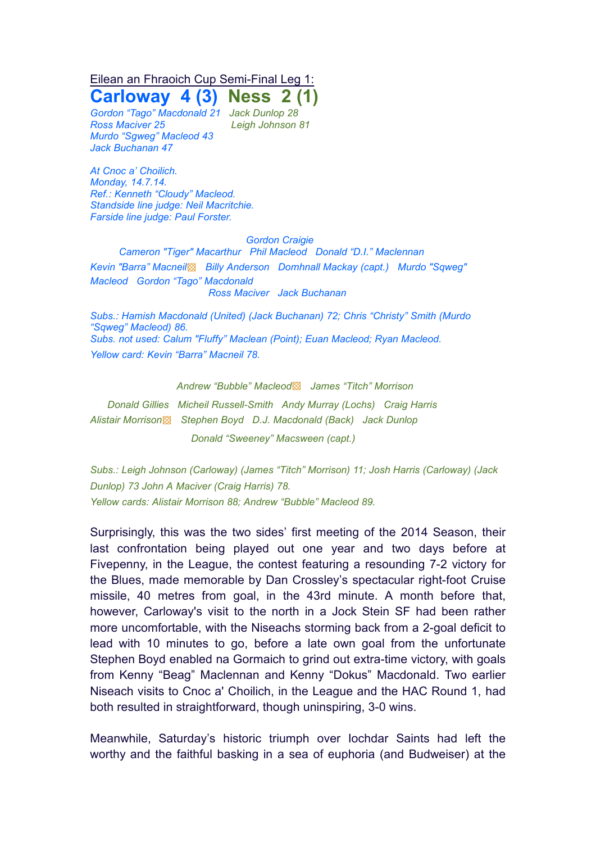# Eilean an Fhraoich Cup Semi-Final Leg 1:

**Carloway 4 (3) Ness 2 (1)** *Gordon "Tago" Macdonald 21 Jack Dunlop 28*

*Ross Maciver 25 Leigh Johnson 81 Murdo "Sgweg" Macleod 43 Jack Buchanan 47*

*At Cnoc a' Choilich. Monday, 14.7.14. Ref.: Kenneth "Cloudy" Macleod. Standside line judge: Neil Macritchie. Farside line judge: Paul Forster.*

#### *Gordon Craigie*

*Cameron "Tiger" Macarthur Phil Macleod Donald "D.I." Maclennan Kevin "Barra" Macneil*▩ *Billy Anderson Domhnall Mackay (capt.) Murdo "Sqweg" Macleod Gordon "Tago" Macdonald Ross Maciver Jack Buchanan*

*Subs.: Hamish Macdonald (United) (Jack Buchanan) 72; Chris "Christy" Smith (Murdo "Sqweg" Macleod) 86. Subs. not used: Calum "Fluffy" Maclean (Point); Euan Macleod; Ryan Macleod. Yellow card: Kevin "Barra" Macneil 78.*

*Andrew "Bubble" Macleod*▩ *James "Titch" Morrison*

*Donald Gillies Micheil Russell-Smith Andy Murray (Lochs) Craig Harris Alistair Morrison*▩ *Stephen Boyd D.J. Macdonald (Back) Jack Dunlop Donald "Sweeney" Macsween (capt.)*

*Subs.: Leigh Johnson (Carloway) (James "Titch" Morrison) 11; Josh Harris (Carloway) (Jack Dunlop) 73 John A Maciver (Craig Harris) 78. Yellow cards: Alistair Morrison 88; Andrew "Bubble" Macleod 89.*

Surprisingly, this was the two sides' first meeting of the 2014 Season, their last confrontation being played out one year and two days before at Fivepenny, in the League, the contest featuring a resounding 7-2 victory for the Blues, made memorable by Dan Crossley's spectacular right-foot Cruise missile, 40 metres from goal, in the 43rd minute. A month before that, however, Carloway's visit to the north in a Jock Stein SF had been rather more uncomfortable, with the Niseachs storming back from a 2-goal deficit to lead with 10 minutes to go, before a late own goal from the unfortunate Stephen Boyd enabled na Gormaich to grind out extra-time victory, with goals from Kenny "Beag" Maclennan and Kenny "Dokus" Macdonald. Two earlier Niseach visits to Cnoc a' Choilich, in the League and the HAC Round 1, had both resulted in straightforward, though uninspiring, 3-0 wins.

Meanwhile, Saturday's historic triumph over Iochdar Saints had left the worthy and the faithful basking in a sea of euphoria (and Budweiser) at the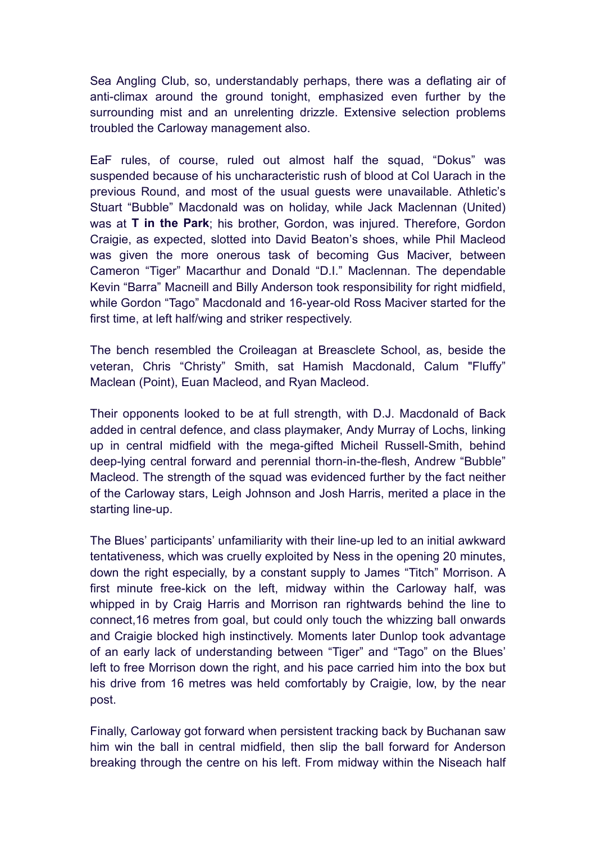Sea Angling Club, so, understandably perhaps, there was a deflating air of anti-climax around the ground tonight, emphasized even further by the surrounding mist and an unrelenting drizzle. Extensive selection problems troubled the Carloway management also.

EaF rules, of course, ruled out almost half the squad, "Dokus" was suspended because of his uncharacteristic rush of blood at Col Uarach in the previous Round, and most of the usual guests were unavailable. Athletic's Stuart "Bubble" Macdonald was on holiday, while Jack Maclennan (United) was at **T in the Park**; his brother, Gordon, was injured. Therefore, Gordon Craigie, as expected, slotted into David Beaton's shoes, while Phil Macleod was given the more onerous task of becoming Gus Maciver, between Cameron "Tiger" Macarthur and Donald "D.I." Maclennan. The dependable Kevin "Barra" Macneill and Billy Anderson took responsibility for right midfield, while Gordon "Tago" Macdonald and 16-year-old Ross Maciver started for the first time, at left half/wing and striker respectively.

The bench resembled the Croileagan at Breasclete School, as, beside the veteran, Chris "Christy" Smith, sat Hamish Macdonald, Calum "Fluffy" Maclean (Point), Euan Macleod, and Ryan Macleod.

Their opponents looked to be at full strength, with D.J. Macdonald of Back added in central defence, and class playmaker, Andy Murray of Lochs, linking up in central midfield with the mega-gifted Micheil Russell-Smith, behind deep-lying central forward and perennial thorn-in-the-flesh, Andrew "Bubble" Macleod. The strength of the squad was evidenced further by the fact neither of the Carloway stars, Leigh Johnson and Josh Harris, merited a place in the starting line-up.

The Blues' participants' unfamiliarity with their line-up led to an initial awkward tentativeness, which was cruelly exploited by Ness in the opening 20 minutes, down the right especially, by a constant supply to James "Titch" Morrison. A first minute free-kick on the left, midway within the Carloway half, was whipped in by Craig Harris and Morrison ran rightwards behind the line to connect,16 metres from goal, but could only touch the whizzing ball onwards and Craigie blocked high instinctively. Moments later Dunlop took advantage of an early lack of understanding between "Tiger" and "Tago" on the Blues' left to free Morrison down the right, and his pace carried him into the box but his drive from 16 metres was held comfortably by Craigie, low, by the near post.

Finally, Carloway got forward when persistent tracking back by Buchanan saw him win the ball in central midfield, then slip the ball forward for Anderson breaking through the centre on his left. From midway within the Niseach half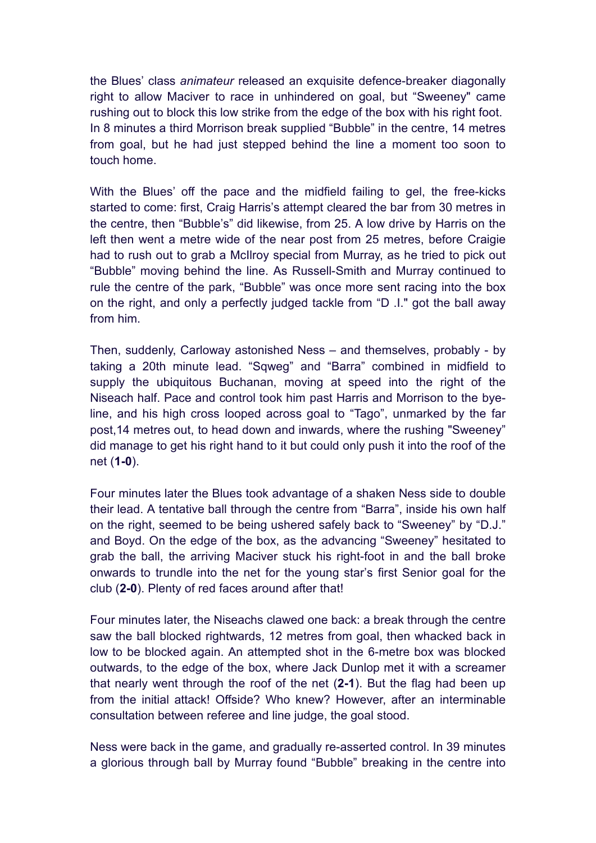the Blues' class *animateur* released an exquisite defence-breaker diagonally right to allow Maciver to race in unhindered on goal, but "Sweeney" came rushing out to block this low strike from the edge of the box with his right foot. In 8 minutes a third Morrison break supplied "Bubble" in the centre, 14 metres from goal, but he had just stepped behind the line a moment too soon to touch home.

With the Blues' off the pace and the midfield failing to gel, the free-kicks started to come: first, Craig Harris's attempt cleared the bar from 30 metres in the centre, then "Bubble's" did likewise, from 25. A low drive by Harris on the left then went a metre wide of the near post from 25 metres, before Craigie had to rush out to grab a McIlroy special from Murray, as he tried to pick out "Bubble" moving behind the line. As Russell-Smith and Murray continued to rule the centre of the park, "Bubble" was once more sent racing into the box on the right, and only a perfectly judged tackle from "D .I." got the ball away from him.

Then, suddenly, Carloway astonished Ness – and themselves, probably - by taking a 20th minute lead. "Sqweg" and "Barra" combined in midfield to supply the ubiquitous Buchanan, moving at speed into the right of the Niseach half. Pace and control took him past Harris and Morrison to the byeline, and his high cross looped across goal to "Tago", unmarked by the far post,14 metres out, to head down and inwards, where the rushing "Sweeney" did manage to get his right hand to it but could only push it into the roof of the net (**1-0**).

Four minutes later the Blues took advantage of a shaken Ness side to double their lead. A tentative ball through the centre from "Barra", inside his own half on the right, seemed to be being ushered safely back to "Sweeney" by "D.J." and Boyd. On the edge of the box, as the advancing "Sweeney" hesitated to grab the ball, the arriving Maciver stuck his right-foot in and the ball broke onwards to trundle into the net for the young star's first Senior goal for the club (**2-0**). Plenty of red faces around after that!

Four minutes later, the Niseachs clawed one back: a break through the centre saw the ball blocked rightwards, 12 metres from goal, then whacked back in low to be blocked again. An attempted shot in the 6-metre box was blocked outwards, to the edge of the box, where Jack Dunlop met it with a screamer that nearly went through the roof of the net (**2-1**). But the flag had been up from the initial attack! Offside? Who knew? However, after an interminable consultation between referee and line judge, the goal stood.

Ness were back in the game, and gradually re-asserted control. In 39 minutes a glorious through ball by Murray found "Bubble" breaking in the centre into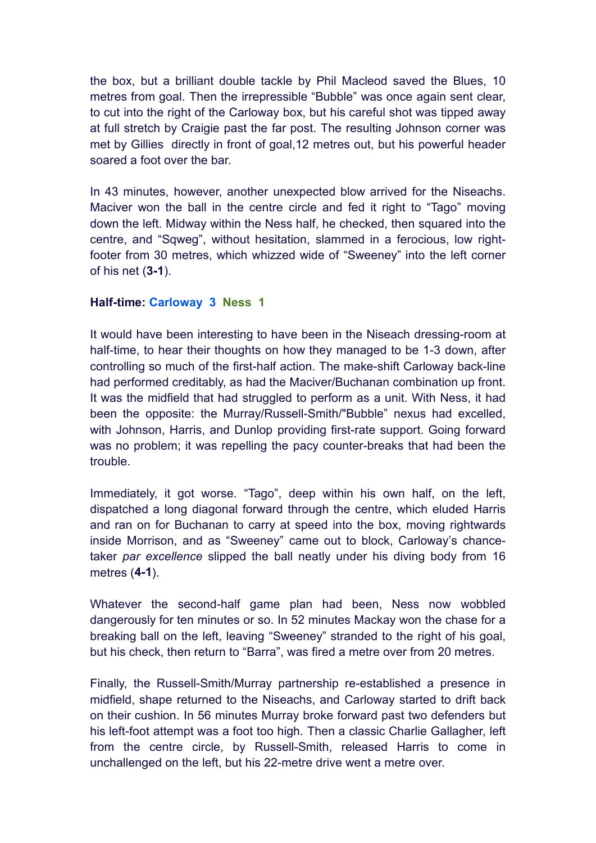the box, but a brilliant double tackle by Phil Macleod saved the Blues, 10 metres from goal. Then the irrepressible "Bubble" was once again sent clear, to cut into the right of the Carloway box, but his careful shot was tipped away at full stretch by Craigie past the far post. The resulting Johnson corner was met by Gillies directly in front of goal,12 metres out, but his powerful header soared a foot over the bar.

In 43 minutes, however, another unexpected blow arrived for the Niseachs. Maciver won the ball in the centre circle and fed it right to "Tago" moving down the left. Midway within the Ness half, he checked, then squared into the centre, and "Sqweg", without hesitation, slammed in a ferocious, low rightfooter from 30 metres, which whizzed wide of "Sweeney" into the left corner of his net (**3-1**).

### **Half-time: Carloway 3 Ness 1**

It would have been interesting to have been in the Niseach dressing-room at half-time, to hear their thoughts on how they managed to be 1-3 down, after controlling so much of the first-half action. The make-shift Carloway back-line had performed creditably, as had the Maciver/Buchanan combination up front. It was the midfield that had struggled to perform as a unit. With Ness, it had been the opposite: the Murray/Russell-Smith/"Bubble" nexus had excelled, with Johnson, Harris, and Dunlop providing first-rate support. Going forward was no problem; it was repelling the pacy counter-breaks that had been the trouble.

Immediately, it got worse. "Tago", deep within his own half, on the left, dispatched a long diagonal forward through the centre, which eluded Harris and ran on for Buchanan to carry at speed into the box, moving rightwards inside Morrison, and as "Sweeney" came out to block, Carloway's chancetaker *par excellence* slipped the ball neatly under his diving body from 16 metres (**4-1**).

Whatever the second-half game plan had been, Ness now wobbled dangerously for ten minutes or so. In 52 minutes Mackay won the chase for a breaking ball on the left, leaving "Sweeney" stranded to the right of his goal, but his check, then return to "Barra", was fired a metre over from 20 metres.

Finally, the Russell-Smith/Murray partnership re-established a presence in midfield, shape returned to the Niseachs, and Carloway started to drift back on their cushion. In 56 minutes Murray broke forward past two defenders but his left-foot attempt was a foot too high. Then a classic Charlie Gallagher, left from the centre circle, by Russell-Smith, released Harris to come in unchallenged on the left, but his 22-metre drive went a metre over.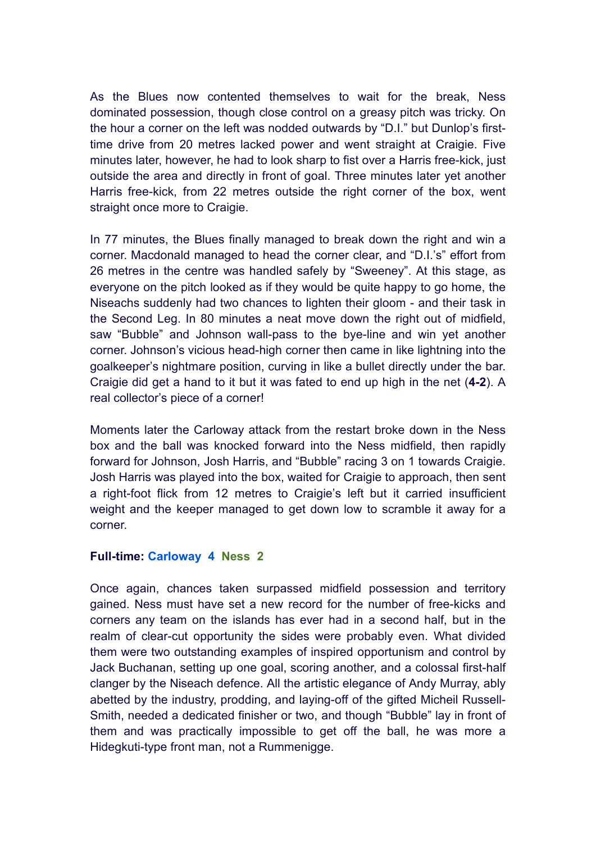As the Blues now contented themselves to wait for the break, Ness dominated possession, though close control on a greasy pitch was tricky. On the hour a corner on the left was nodded outwards by "D.I." but Dunlop's firsttime drive from 20 metres lacked power and went straight at Craigie. Five minutes later, however, he had to look sharp to fist over a Harris free-kick, just outside the area and directly in front of goal. Three minutes later yet another Harris free-kick, from 22 metres outside the right corner of the box, went straight once more to Craigie.

In 77 minutes, the Blues finally managed to break down the right and win a corner. Macdonald managed to head the corner clear, and "D.I.'s" effort from 26 metres in the centre was handled safely by "Sweeney". At this stage, as everyone on the pitch looked as if they would be quite happy to go home, the Niseachs suddenly had two chances to lighten their gloom - and their task in the Second Leg. In 80 minutes a neat move down the right out of midfield, saw "Bubble" and Johnson wall-pass to the bye-line and win yet another corner. Johnson's vicious head-high corner then came in like lightning into the goalkeeper's nightmare position, curving in like a bullet directly under the bar. Craigie did get a hand to it but it was fated to end up high in the net (**4-2**). A real collector's piece of a corner!

Moments later the Carloway attack from the restart broke down in the Ness box and the ball was knocked forward into the Ness midfield, then rapidly forward for Johnson, Josh Harris, and "Bubble" racing 3 on 1 towards Craigie. Josh Harris was played into the box, waited for Craigie to approach, then sent a right-foot flick from 12 metres to Craigie's left but it carried insufficient weight and the keeper managed to get down low to scramble it away for a corner.

### **Full-time: Carloway 4 Ness 2**

Once again, chances taken surpassed midfield possession and territory gained. Ness must have set a new record for the number of free-kicks and corners any team on the islands has ever had in a second half, but in the realm of clear-cut opportunity the sides were probably even. What divided them were two outstanding examples of inspired opportunism and control by Jack Buchanan, setting up one goal, scoring another, and a colossal first-half clanger by the Niseach defence. All the artistic elegance of Andy Murray, ably abetted by the industry, prodding, and laying-off of the gifted Micheil Russell-Smith, needed a dedicated finisher or two, and though "Bubble" lay in front of them and was practically impossible to get off the ball, he was more a Hidegkuti-type front man, not a Rummenigge.